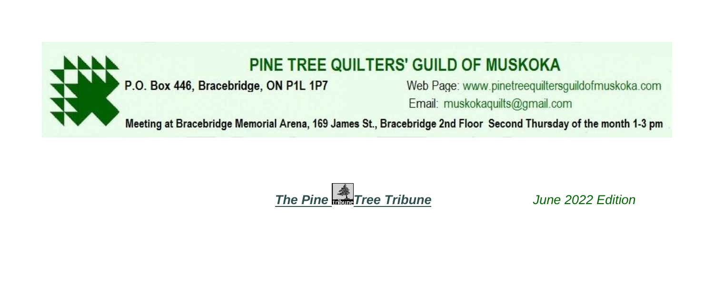

# PINE TREE QUILTERS' GUILD OF MUSKOKA

# P.O. Box 446, Bracebridge, ON P1L 1P7

Web Page: www.pinetreequiltersguildofmuskoka.com Email: muskokaguilts@gmail.com

Meeting at Bracebridge Memorial Arena, 169 James St., Bracebridge 2nd Floor Second Thursday of the month 1-3 pm



June 2022 Edition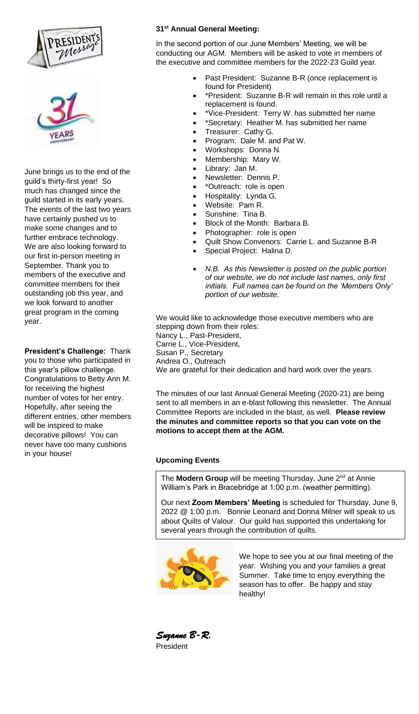



June brings us to the end of the guild's thirty-first year! So much has changed since the guild started in its early years. The events of the last two years have certainly pushed us to make some changes and to further embrace technology. We are also looking forward to our first in-person meeting in September. Thank you to members of the executive and committee members for their outstanding job this year, and we look forward to another great program in the coming year.

**President's Challenge:** Thank you to those who participated in this year's pillow challenge. Congratulations to Betty Ann M. for receiving the highest number of votes for her entry. Hopefully, after seeing the different entries, other members will be inspired to make decorative pillows! You can never have too many cushions in your house!

#### **31st Annual General Meeting:**

In the second portion of our June Members' Meeting, we will be conducting our AGM. Members will be asked to vote in members of the executive and committee members for the 2022-23 Guild year.

- Past President: Suzanne B-R (once replacement is found for President)
- \*President: Suzanne B-R will remain in this role until a replacement is found.
- \*Vice-President: Terry W. has submitted her name
- \*Secretary: Heather M. has submitted her name
- Treasurer: Cathy G.
- Program: Dale M. and Pat W.
- Workshops: Donna N.
- Membership: Mary W.
- Library: Jan M.
- Newsletter: Dennis P.
- \*Outreach: role is open
- Hospitality: Lynda G.
- Website: Pam R.
- Sunshine: Tina B.
- Block of the Month: Barbara B.
- Photographer: role is open
- Quilt Show Convenors: Carrie L. and Suzanne B-R
- Special Project: Halina D.
- *N.B. As this Newsletter is posted on the public portion of our website, we do not include last names, only first initials. Full names can be found on the 'Members Only' portion of our website.*

We would like to acknowledge those executive members who are stepping down from their roles: Nancy L., Past-President, Carrie L., Vice-President, Susan P., Secretary Andrea O., Outreach We are grateful for their dedication and hard work over the years.

The minutes of our last Annual General Meeting (2020-21) are being sent to all members in an e-blast following this newsletter. The Annual Committee Reports are included in the blast, as well. **Please review the minutes and committee reports so that you can vote on the motions to accept them at the AGM.**

# **Upcoming Events**

The **Modern Group** will be meeting Thursday, June 2<sup>nd</sup> at Annie William's Park in Bracebridge at 1:00 p.m. (weather permitting).

Our next **Zoom Members' Meeting** is scheduled for Thursday, June 9, 2022 @ 1:00 p.m. Bonnie Leonard and Donna Milner will speak to us about Quilts of Valour. Our guild has supported this undertaking for several years through the contribution of quilts.



We hope to see you at our final meeting of the year. Wishing you and your families a great Summer. Take time to enjoy everything the season has to offer. Be happy and stay healthy!

*Suzanne B-R.*  President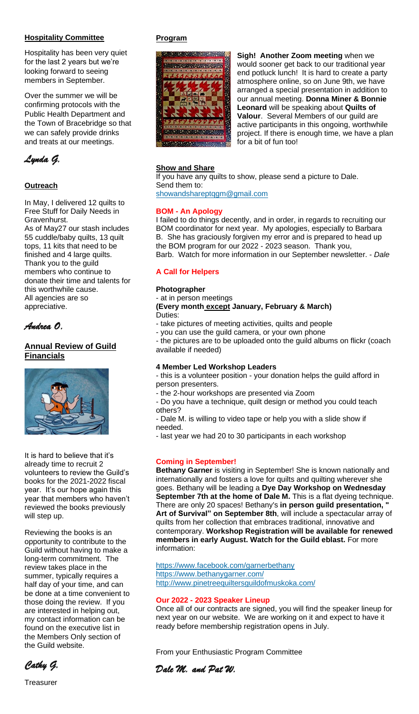### **Hospitality Committee**

Hospitality has been very quiet for the last 2 years but we're looking forward to seeing members in September.

Over the summer we will be confirming protocols with the Public Health Department and the Town of Bracebridge so that we can safely provide drinks and treats at our meetings.



# **Outreach**

In May, I delivered 12 quilts to Free Stuff for Daily Needs in Gravenhurst. As of May27 our stash includes 55 cuddle/baby quilts, 13 quilt tops, 11 kits that need to be finished and 4 large quilts. Thank you to the guild members who continue to donate their time and talents for this worthwhile cause. All agencies are so appreciative.

# *Andrea O.*

# **Annual Review of Guild Financials**



It is hard to believe that it's already time to recruit 2 volunteers to review the Guild's books for the 2021-2022 fiscal year. It's our hope again this year that members who haven't reviewed the books previously will step up.

Reviewing the books is an opportunity to contribute to the Guild without having to make a long-term commitment. The review takes place in the summer, typically requires a half day of your time, and can be done at a time convenient to those doing the review. If you are interested in helping out, my contact information can be found on the executive list in the Members Only section of the Guild website.

*Cathy G.* 

### **Program**



**Sigh! Another Zoom meeting** when we would sooner get back to our traditional year end potluck lunch! It is hard to create a party atmosphere online, so on June 9th, we have arranged a special presentation in addition to our annual meeting. **Donna Miner & Bonnie Leonard** will be speaking about **Quilts of Valour**. Several Members of our guild are active participants in this ongoing, worthwhile project. If there is enough time, we have a plan for a bit of fun too!

### **Show and Share**

If you have any quilts to show, please send a picture to Dale. Send them to: showandshareptqgm@gmail.com

### **BOM - An Apology**

I failed to do things decently, and in order, in regards to recruiting our BOM coordinator for next year. My apologies, especially to Barbara B. She has graciously forgiven my error and is prepared to head up the BOM program for our 2022 - 2023 season. Thank you, Barb. Watch for more information in our September newsletter. - *Dale*

### **A Call for Helpers**

#### **Photographer**

#### - at in person meetings

**(Every month except January, February & March)** Duties:

- take pictures of meeting activities, quilts and people
- you can use the guild camera, or your own phone

- the pictures are to be uploaded onto the guild albums on flickr (coach available if needed)

#### **4 Member Led Workshop Leaders**

- this is a volunteer position - your donation helps the guild afford in person presenters.

- the 2-hour workshops are presented via Zoom

- Do you have a technique, quilt design or method you could teach others?

- Dale M. is willing to video tape or help you with a slide show if needed.

- last year we had 20 to 30 participants in each workshop

# **Coming in September!**

**Bethany Garner** is visiting in September! She is known nationally and internationally and fosters a love for quilts and quilting wherever she goes. Bethany will be leading a **Dye Day Workshop on Wednesday September 7th at the home of Dale M.** This is a flat dyeing technique. There are only 20 spaces! Bethany's **in person guild presentation, " Art of Survival" on September 8th**, will include a spectacular array of quilts from her collection that embraces traditional, innovative and contemporary. **Workshop Registration will be available for renewed members in early August. Watch for the Guild eblast.** For more information:

https://www.facebook.com/garnerbethany https://www.bethanygarner.com/ http://www.pinetreequiltersguildofmuskoka.com/

#### **Our 2022 - 2023 Speaker Lineup**

Once all of our contracts are signed, you will find the speaker lineup for next year on our website. We are working on it and expect to have it ready before membership registration opens in July.

From your Enthusiastic Program Committee

*Dale M. and Pat W.*

**Treasurer**